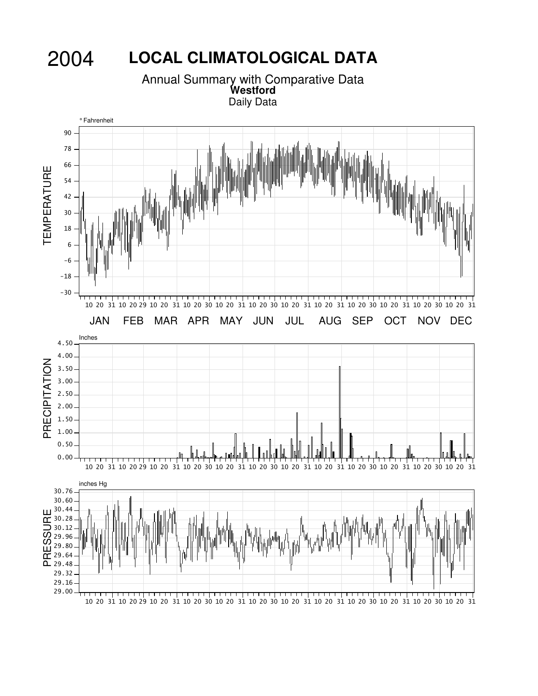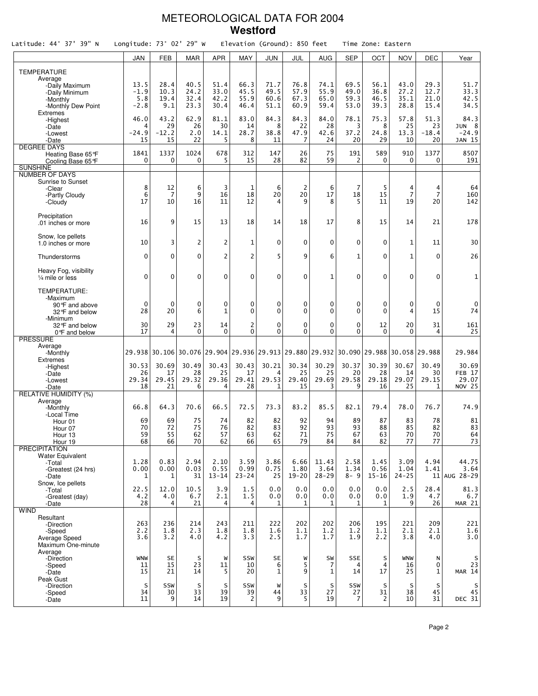### METEOROLOGICAL DATA FOR 2004 **Westford**

| Latitude: 44° 37' 39" N                                                                             | Longitude: 73° 02' 29" W        |                                                                                     |                              |                                        |                                | Elevation (Ground): 850 feet |                              |                              |                              | Time Zone: Eastern           |                              |                                 |                                                      |
|-----------------------------------------------------------------------------------------------------|---------------------------------|-------------------------------------------------------------------------------------|------------------------------|----------------------------------------|--------------------------------|------------------------------|------------------------------|------------------------------|------------------------------|------------------------------|------------------------------|---------------------------------|------------------------------------------------------|
|                                                                                                     | JAN                             | <b>FEB</b>                                                                          | <b>MAR</b>                   | <b>APR</b>                             | MAY                            | <b>JUN</b>                   | JUL                          | <b>AUG</b>                   | <b>SEP</b>                   | OCT                          | <b>NOV</b>                   | DEC                             | Year                                                 |
| <b>TEMPERATURE</b><br>Average<br>-Daily Maximum<br>-Daily Minimum<br>-Monthly<br>-Monthly Dew Point | 13.5<br>$-1.9$<br>5.8<br>$-2.8$ | 28.4<br>10.3<br>19.4<br>9.1                                                         | 40.5<br>24.2<br>32.4<br>23.3 | 51.4<br>33.0<br>42.2<br>30.4           | 66.3<br>45.5<br>55.9<br>46.4   | 71.7<br>49.5<br>60.6<br>51.1 | 76.8<br>57.9<br>67.3<br>60.9 | 74.1<br>55.9<br>65.0<br>59.4 | 69.5<br>49.0<br>59.3<br>53.0 | 56.1<br>36.8<br>46.5<br>39.3 | 43.0<br>27.2<br>35.1<br>28.8 | 29.3<br>12.7<br>21.0<br>15.4    | 51.7<br>33.3<br>42.5<br>34.5                         |
| <b>Extremes</b><br>-Highest<br>-Date<br>-Lowest<br>-Date                                            | 46.0<br>4<br>$-24.9$<br>15      | 43.2<br>29<br>$-12.2$<br>15                                                         | 62.9<br>26<br>2.0<br>22      | 81.1<br>30<br>14.1<br>5                | 83.0<br>14<br>28.7<br>8        | 84.3<br>8<br>38.8<br>11      | 84.3<br>22<br>47.9<br>7      | 84.0<br>28<br>42.6<br>24     | 78.1<br>3<br>37.2<br>20      | 75.3<br>8<br>24.8<br>29      | 57.8<br>25<br>13.3<br>10     | 51.3<br>23<br>$-18.4$<br>20     | 84.3<br>JUN <sub>8</sub><br>$-24.9$<br><b>JAN 15</b> |
| <b>DEGREE DAYS</b><br>Heating Base 65°F<br>Cooling Base 65°F<br><b>SUNSHINE</b>                     | 1841<br>0                       | 1337<br>$\Omega$                                                                    | 1024<br>0                    | 678<br>5                               | 312<br>15                      | 147<br>28                    | 26<br>82                     | 75<br>59                     | 191<br>2                     | 589<br>$\mathbf{0}$          | 910<br>0                     | 1377<br>0                       | 8507<br>191                                          |
| <b>NUMBER OF DAYS</b><br><b>Sunrise to Sunset</b><br>-Clear<br>-Partly Cloudy<br>-Cloudy            | 8<br>6<br>17                    | 12<br>7<br>10                                                                       | 6<br>9<br>16                 | 3<br>16<br>11                          | $\mathbf{1}$<br>18<br>12       | 6<br>20<br>$\overline{4}$    | $\overline{2}$<br>20<br>9    | 6<br>17<br>8                 | $\overline{7}$<br>18<br>5    | 5<br>15<br>11                | 4<br>$\overline{7}$<br>19    | 4<br>$\overline{7}$<br>20       | 64<br>160<br>142                                     |
| Precipitation<br>.01 inches or more                                                                 | 16                              | 9                                                                                   | 15                           | 13                                     | 18                             | 14                           | 18                           | 17                           | 8                            | 15                           | 14                           | 21                              | 178                                                  |
| Snow, Ice pellets<br>1.0 inches or more                                                             | 10                              | 3                                                                                   | $\overline{2}$               | 2                                      | $\mathbf{1}$                   | $\mathbf 0$                  | $\Omega$                     | $\mathbf 0$                  | $\mathbf 0$                  | $\mathbf{0}$                 | 1                            | 11                              | 30                                                   |
| Thunderstorms<br>Heavy Fog, visibility                                                              | $\Omega$                        | $\mathbf 0$                                                                         | $\Omega$                     | $\overline{c}$                         | $\overline{2}$                 | 5                            | 9                            | 6                            | $\mathbf{1}$                 | $\mathbf{0}$                 | $\mathbf{1}$                 | 0                               | 26                                                   |
| $\frac{1}{4}$ mile or less<br>TEMPERATURE:                                                          | $\mathbf{0}$                    | $\mathbf 0$                                                                         | $\Omega$                     | 0                                      | $\mathbf 0$                    | $\mathbf 0$                  | $\mathbf{0}$                 | $\mathbf{1}$                 | $\mathbf{0}$                 | $\mathbf 0$                  | $\mathbf{0}$                 | $\Omega$                        | 1                                                    |
| -Maximum<br>90°F and above<br>32°F and below<br>-Minimum                                            | $\Omega$<br>28                  | $\mathbf 0$<br>20                                                                   | $\mathbf 0$<br>6             | 0<br>$\mathbf{1}$                      | $\mathbf 0$<br>$\Omega$        | $\mathbf 0$<br>$\Omega$      | $\mathbf 0$<br>$\Omega$      | 0<br>$\Omega$                | 0<br>$\mathbf{0}$            | 0<br>$\mathbf{0}$            | $\mathbf 0$<br>4             | $\mathbf{0}$<br>15              | 0<br>74                                              |
| 32°F and below<br>0°F and below                                                                     | 30<br>17                        | 29<br>4                                                                             | 23<br>$\Omega$               | 14<br>$\Omega$                         | $\overline{2}$<br>$\mathbf{0}$ | $\mathbf 0$<br>$\Omega$      | $\mathbf 0$<br>$\Omega$      | $\mathbf 0$<br>$\Omega$      | 0<br>$\Omega$                | 12<br>$\mathbf{0}$           | 20<br>$\Omega$               | 31<br>4                         | 161<br>25                                            |
| <b>PRESSURE</b><br>Average<br>-Monthly                                                              |                                 | 29.938 30.106 30.076 29.904 29.936 29.913 29.880 29.932 30.090 29.988 30.058 29.988 |                              |                                        |                                |                              |                              |                              |                              |                              |                              |                                 | 29.984                                               |
| <b>Extremes</b><br>-Highest<br>-Date<br>-Lowest<br>-Date                                            | 30.53<br>26<br>29.34<br>18      | 30.69<br>17<br>29.45<br>21                                                          | 30.49<br>28<br>29.32<br>6    | 30.43<br>25<br>29.36<br>$\overline{4}$ | 30.43<br>17<br>29.41<br>28     | 30.21<br>4<br>29.53<br>1     | 30.34<br>25<br>29.40<br>15   | 30.29<br>25<br>29.69<br>3    | 30.37<br>20<br>29.58<br>9    | 30.39<br>28<br>29.18<br>16   | 30.67<br>14<br>29.07<br>25   | 30.49<br>30<br>29.15<br>1       | 30.69<br>FEB <sub>17</sub><br>29.07<br><b>NOV 25</b> |
| <b>RELATIVE HUMIDITY (%)</b><br>Average<br>-Monthly                                                 | 66.8                            | 64.3                                                                                | 70.6                         | 66.5                                   | 72.5                           | 73.3                         | 83.2                         | 85.5                         | 82.1                         | 79.4                         | 78.0                         | 76.7                            | 74.9                                                 |
| -Local Time<br>Hour 01<br>Hour 07<br>Hour 13<br>Hour 19                                             | 69<br>70<br>59<br>68            | 69<br>72<br>55<br>66                                                                | 75<br>75<br>62<br>70         | 74<br>76<br>57<br>62                   | 82<br>82<br>63<br>66           | 82<br>83<br>62<br>65         | 92<br>92<br>71<br>79         | 94<br>93<br>75<br>84         | 89<br>93<br>67<br>84         | 87<br>88<br>63<br>82         | 83<br>85<br>70<br>77         | 78<br>82<br>70<br>77            | 81<br>83<br>64<br>73                                 |
| <b>PRECIPITATION</b><br>Water Equivalent<br>-Total<br>-Greatest (24 hrs)<br>-Date                   | 1.28<br>0.00<br>1               | 0.83<br>0.00<br>1                                                                   | 2.94<br>0.03<br>31           | 2.10<br>0.55<br>$13 - 14$              | 3.59<br>0.99<br>$23 - 24$      | 3.86<br>0.75<br>25           | 6.66<br>1.80<br>$19 - 20$    | 11.43<br>3.64<br>$28 - 29$   | 2.58<br>1.34<br>$8 - 9$      | 1.45<br>0.56<br>$15 - 16$    | 3.09<br>1.04<br>$24 - 25$    | 4.94<br>1.41                    | 44.75<br>3.64<br>$11$ AUG 28-29                      |
| Snow, Ice pellets<br>-Total<br>-Greatest (day)<br>-Date                                             | 22.5<br>4.2<br>28               | 12.0<br>4.0<br>4                                                                    | 10.5<br>6.7<br>21            | 3.9<br>2.1<br>4                        | 1.5<br>1.5<br>4                | 0.0<br>0.0<br>1              | 0.0<br>0.0<br>1              | 0.0<br>0.0<br>1              | 0.0<br>0.0<br>1              | 0.0<br>0.0<br>1              | 2.5<br>1.9<br>9              | 28.4<br>4.7<br>26               | 81.3<br>6.7<br>MAR 21                                |
| <b>WIND</b><br>Resultant<br>-Direction<br>-Speed<br>Average Speed<br>Maximum One-minute             | 263<br>2.2<br>3.6               | 236<br>1.8<br>3.2                                                                   | 214<br>2.3<br>4.0            | 243<br>1.8<br>4.2                      | 211<br>1.8<br>3.3              | 222<br>1.6<br>2.5            | 202<br>1.1<br>1.7            | 202<br>1.2<br>1.7            | 206<br>1.2<br>1.9            | 195<br>1.1<br>2.2            | 221<br>2.1<br>3.8            | 209<br>2.1<br>4.0               | 221<br>1.6<br>3.0                                    |
| Average<br>-Direction<br>-Speed<br>-Date<br>Peak Gust                                               | <b>WNW</b><br>11<br>15          | <b>SE</b><br>15<br>21                                                               | S<br>23<br>14                | W<br>11<br>5                           | SSW<br>10<br>20                | <b>SE</b><br>6<br>1          | W<br>5<br>9                  | SW<br>7<br>1                 | <b>SSE</b><br>4<br>14        | S<br>4<br>17                 | <b>WNW</b><br>16<br>25       | N<br>$\mathbf 0$<br>$\mathbf 1$ | s<br>23<br><b>MAR 14</b>                             |
| -Direction<br>-Speed<br>-Date                                                                       | S<br>34<br>11                   | SSW<br>30<br>9                                                                      | S<br>33<br>14                | S<br>39<br>19                          | SSW<br>39<br>$\overline{2}$    | W<br>44<br>9                 | S<br>33<br>5                 | $\sf S$<br>27<br>19          | SSW<br>27<br>7               | S<br>31<br>$\overline{c}$    | S<br>38<br>10                | S<br>45<br>31                   | s<br>$\bf 45$<br>DEC 31                              |

Page 2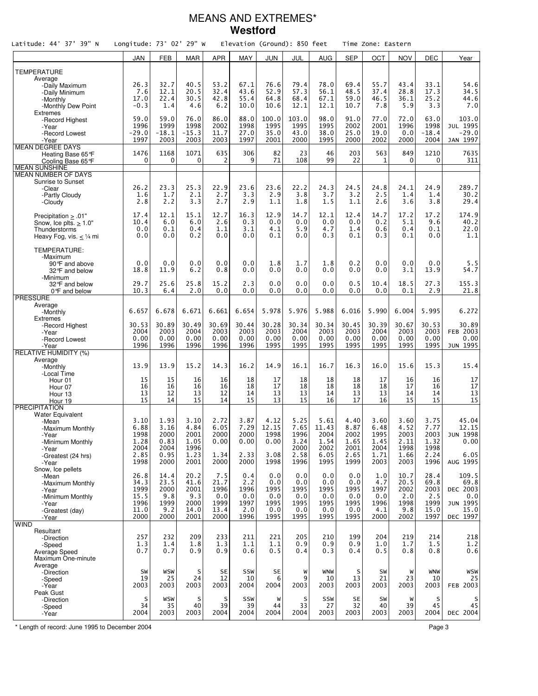### MEANS AND EXTREMES\* **Westford**

| Latitude: 44° 37' 39" N                     | Longitude: $73^\circ$ 02' 29" W |                 |                      |                  |              | Elevation (Ground): 850 feet |                |               |              | Time Zone: Eastern |                 |                 |                     |
|---------------------------------------------|---------------------------------|-----------------|----------------------|------------------|--------------|------------------------------|----------------|---------------|--------------|--------------------|-----------------|-----------------|---------------------|
|                                             | JAN                             | <b>FEB</b>      | <b>MAR</b>           | <b>APR</b>       | <b>MAY</b>   | JUN                          | JUL            | <b>AUG</b>    | <b>SEP</b>   | OCT                | <b>NOV</b>      | DEC             | Year                |
| <b>TEMPERATURE</b>                          |                                 |                 |                      |                  |              |                              |                |               |              |                    |                 |                 |                     |
| Average                                     |                                 |                 |                      |                  |              |                              |                |               |              |                    |                 |                 |                     |
| -Daily Maximum<br>-Daily Minimum            | 26.3<br>7.6                     | 32.7<br>12.1    | 40.5<br>20.5         | 53.2<br>32.4     | 67.1<br>43.6 | 76.6<br>52.9                 | 79.4<br>57.3   | 78.0<br>56.1  | 69.4<br>48.5 | 55.7<br>37.4       | 43.4<br>28.8    | 33.1<br>17.3    | 54.6<br>34.5        |
| -Monthly                                    | 17.0                            | 22.4            | 30.5                 | 42.8             | 55.4         | 64.8                         | 68.4           | 67.1          | 59.0         | 46.5               | 36.1            | 25.2            | 44.6                |
| -Monthly Dew Point                          | $-0.3$                          | 1.4             | 4.6                  | 6.2              | 10.0         | 10.6                         | 12.1           | 12.1          | 10.7         | 7.8                | 5.9             | 3.3             | 7.0                 |
| <b>Extremes</b><br>-Record Highest          | 59.0                            | 59.0            | 76.0                 | 86.0             | 88.0         | 100.0                        | 103.0          | 98.0          | 91.0         | 77.0               | 72.0            | 63.0            | 103.0               |
| -Year                                       | 1996                            | 1999            | 1998                 | 2002             | 1998         | 1995                         | 1995           | 1995          | 2002         | 2001               | 1996            | 1998            | JUL 1995            |
| -Record Lowest<br>-Year                     | $-29.0$<br>1997                 | $-18.1$<br>2003 | $-15.3$<br>2003      | 11.7<br>2003     | 27.0<br>1997 | 35.0<br>2001                 | 43.0<br>2000   | 38.0<br>1995  | 25.0<br>2000 | 19.0<br>2002       | 0.0<br>2000     | $-18.4$<br>2004 | $-29.0$<br>JAN 1997 |
| <b>MEAN DEGREE DAYS</b>                     |                                 |                 |                      |                  |              |                              |                |               |              |                    |                 |                 |                     |
| Heating Base 65 °F                          | 1476<br>0                       | 1168<br>0       | 1071<br>$\mathbf{0}$ | 635<br>2         | 306<br>9     | 82<br>71                     | 23<br>108      | 46<br>99      | 203<br>22    | 563<br>1           | 849<br>$\Omega$ | 1210<br>0       | 7635<br>311         |
| Cooling Base 65°F<br><b>MEAN SUNSHINE</b>   |                                 |                 |                      |                  |              |                              |                |               |              |                    |                 |                 |                     |
| MEAN NUMBER OF DAYS                         |                                 |                 |                      |                  |              |                              |                |               |              |                    |                 |                 |                     |
| Sunrise to Sunset<br>-Clear                 | 26.2                            | 23.3            | 25.3                 | 22.9             | 23.6         | 23.6                         | 22.2           | 24.3          | 24.5         | 24.8               | 24.1            | 24.9            | 289.7               |
| -Partly Cloudy                              | 1.6                             | 1.7             | 2.1                  | $2.\overline{7}$ | 3.3          | 2.9                          | 3.8            | 3.7           | 3.2          | 2.5                | 1.4             | 1.4             | 30.2                |
| -Cloudy                                     | 2.8                             | 2.2             | 3.3                  | 2.7              | 2.9          | 1.1                          | 1.8            | 1.5           | 1.1          | 2.6                | 3.6             | 3.8             | 29.4                |
| Precipitation $\geq .01$ "                  | 17.4                            | 12.1            | 15.1                 | 12.7             | 16.3         | 12.9                         | 14.7           | 12.1          | 12.4         | 14.7               | 17.2            | 17.2            | 174.9               |
| Snow, Ice plts. $> 1.0$ "                   | 10.4<br>0.0                     | 6.0<br>0.1      | 6.0<br>0.4           | 2.6<br>1.1       | 0.3<br>3.1   | 0.0<br>4.1                   | 0.0<br>5.9     | 0.0<br>4.7    | 0.0<br>1.4   | 0.2<br>0.6         | 5.1<br>0.4      | 9.6<br>0.1      | 40.2<br>22.0        |
| Thunderstorms<br>Heavy Fog, vis. $<$ 1/4 mi | 0.0                             | 0.0             | 0.2                  | 0.0              | 0.0          | 0.1                          | 0.0            | 0.3           | 0.1          | 0.3                | 0.1             | 0.0             | 1.1                 |
|                                             |                                 |                 |                      |                  |              |                              |                |               |              |                    |                 |                 |                     |
| TEMPERATURE:<br>-Maximum                    |                                 |                 |                      |                  |              |                              |                |               |              |                    |                 |                 |                     |
| 90°F and above                              | 0.0                             | 0.0             | 0.0                  | 0.0              | 0.0          | 1.8                          | 1.7            | 1.8           | 0.2          | 0.0                | 0.0             | 0.0             | 5.5                 |
| 32°F and below<br>-Minimum                  | 18.8                            | 11.9            | 6.2                  | 0.8              | 0.0          | 0.0                          | 0.0            | 0.0           | 0.0          | 0.0                | 3.1             | 13.9            | 54.7                |
| 32°F and below                              | 29.7                            | 25.6            | 25.8                 | 15.2             | 2.3          | 0.0                          | 0.0            | 0.0           | 0.5          | 10.4               | 18.5            | 27.3            | 155.3               |
| 0°F and below                               | 10.3                            | 6.4             | 2.0                  | 0.0              | 0.0          | 0.0                          | 0.0            | 0.0           | 0.0          | 0.0                | 0.1             | 2.9             | 21.8                |
| <b>PRESSURE</b><br>Average                  |                                 |                 |                      |                  |              |                              |                |               |              |                    |                 |                 |                     |
| -Monthly                                    | 6.657                           | 6.678           | 6.671                | 6.661            | 6.654        | 5.978                        | 5.976          | 5.988         | 6.016        | 5.990              | 6.004           | 5.995           | 6.272               |
| Extremes<br>-Record Highest                 | 30.53                           | 30.89           | 30.49                | 30.69            | 30.44        | 30.28                        | 30.34          | 30.34         | 30.45        | 30.39              | 30.67           | 30.53           | 30.89               |
| -Year                                       | 2004                            | 2003            | 2004                 | 2003             | 2003         | 2003                         | 2004           | 2003          | 2003         | 2004               | 2003            | 2003            | <b>FEB 2003</b>     |
| -Record Lowest<br>-Year                     | 0.00<br>1996                    | 0.00<br>1996    | 0.00<br>1996         | 0.00<br>1996     | 0.00<br>1996 | 0.00<br>1995                 | 0.00<br>1995   | 0.00<br>1995  | 0.00<br>1995 | 0.00<br>1995       | 0.00<br>1995    | 0.00<br>1995    | 0.00<br>JUN 1995    |
| <b>RELATIVE HUMIDITY (%)</b>                |                                 |                 |                      |                  |              |                              |                |               |              |                    |                 |                 |                     |
| Average<br>-Monthly                         | 13.9                            | 13.9            | 15.2                 | 14.3             | 16.2         | 14.9                         | 16.1           | 16.7          | 16.3         | 16.0               | 15.6            | 15.3            | 15.4                |
| -Local Time                                 |                                 |                 |                      |                  |              |                              |                |               |              |                    |                 |                 |                     |
| Hour 01                                     | 15                              | 15              | 16                   | 16               | 18           | 17                           | 18             | 18            | 18           | 17<br>18           | 16              | 16              | 17                  |
| Hour 07<br>Hour 13                          | 16<br>13                        | 16<br>12        | 16<br>13             | 16<br>12         | 18<br>14     | 17<br>13                     | 18<br>13       | 18<br>14      | 18<br>13     | 13                 | 17<br>14        | 16<br>14        | $17$<br>13          |
| Hour 19                                     | 15                              | 14              | 15                   | 14               | 15           | 13                           | 15             | 16            | 17           | 16                 | 15              | 15              | 15                  |
| <b>PRECIPITATION</b><br>Water Equivalent    |                                 |                 |                      |                  |              |                              |                |               |              |                    |                 |                 |                     |
| -Mean                                       | 3.10                            | 1.93            | 3.10                 | 2.72             | 3.87         | 4.12                         | 5.25           | 5.61          | 4.40         | 3.60               | 3.60            | 3.75            | 45.04               |
| -Maximum Monthly                            | 6.88<br>1998                    | 3.16<br>2000    | 4.84<br>2001         | 6.05<br>2000     | 7.29<br>2000 | 12.15<br>1998                | 7.65<br>1996   | 11.43<br>2004 | 8.87<br>2002 | 6.48<br>1995       | 4.52<br>2003    | 7.77<br>2003    | 12.15<br>JUN 1998   |
| -Year<br>-Minimum Monthly                   | 1.28                            | 0.83            | 1.05                 | 0.00             | 0.00         | 0.00                         | 3.24           | 1.54          | 1.65         | 1.45               | 2.11            | 1.32            | 0.00                |
| -Year                                       | 2004                            | 2004            | 1996                 |                  |              |                              | 2000           | 2002          | 2001         | 2004               | 1998            | 1998            |                     |
| -Greatest (24 hrs)<br>-Year                 | 2.85<br>1998                    | 0.95<br>2000    | 1.23<br>2001         | 1.34<br>2000     | 2.33<br>2000 | 3.08<br>1998                 | 2.58<br>1996   | 6.05<br>1995  | 2.65<br>1999 | 1.71<br>2003       | 1.66<br>2003    | 2.24<br>1996    | 6.05<br>AUG 1995    |
| Snow, Ice pellets                           |                                 |                 |                      |                  |              |                              |                |               |              |                    |                 |                 |                     |
| -Mean<br>-Maximum Monthly                   | 26.8<br>34.3                    | 14.4<br>23.5    | 20.2<br>41.6         | 7.5<br>21.7      | 0.4<br>2.2   | 0.0<br>0.0                   | 0.0<br>0.0     | 0.0<br>0.0    | 0.0<br>0.0   | 1.0<br>4.7         | 10.7<br>20.5    | 28.4<br>69.8    | 109.5<br>69.8       |
| -Year                                       | 1999                            | 2000            | 2001                 | 1996             | 1996         | 1995                         | 1995           | 1995          | 1995         | 1997               | 2002            | 2003            | DEC 2003            |
| -Minimum Monthly                            | 15.5<br>1996                    | 9.8<br>1999     | 9.3<br>2000          | 0.0<br>1999      | 0.0<br>1997  | 0.0<br>1995                  | 0.0<br>1995    | 0.0<br>1995   | 0.0<br>1995  | 0.0<br>1996        | 2.0<br>1998     | 2.5<br>1999     | 0.0<br>JUN 1995     |
| -Year<br>-Greatest (day)                    | 11.0                            | 9.2             | 14.0                 | 13.4             | 2.0          | 0.0                          | 0.0            | 0.0           | 0.0          | 4.1                | 9.8             | 15.0            | 15.0                |
| -Year                                       | 2000                            | 2000            | 2001                 | 2000             | 1996         | 1995                         | 1995           | 1995          | 1995         | 2000               | 2002            | 1997            | DEC 1997            |
| <b>WIND</b><br>Resultant                    |                                 |                 |                      |                  |              |                              |                |               |              |                    |                 |                 |                     |
| -Direction                                  | 257                             | 232             | 209                  | 233              | 211          | 221                          | 205            | 210           | 199          | 204                | 219             | 214             | 218                 |
| -Speed<br>Average Speed                     | 1.3<br>0.7                      | 1.4<br>0.7      | 1.8<br>0.9           | 1.3<br>0.9       | 1.1<br>0.6   | 1.1<br>0.5                   | 0.9<br>0.4     | 0.9<br>0.3    | 0.9<br>0.4   | 1.0<br>0.5         | 1.7<br>0.8      | 1.5<br>0.8      | 1.2<br>0.6          |
| Maximum One-minute                          |                                 |                 |                      |                  |              |                              |                |               |              |                    |                 |                 |                     |
| Average                                     | SW                              | <b>WSW</b>      | S                    | <b>SE</b>        | SSW          | <b>SE</b>                    | W              | <b>WNW</b>    | S            | SW                 | W               | <b>WNW</b>      | WSW                 |
| -Direction<br>-Speed                        | 19                              | 25              | 24                   | 12               | 10           | 6                            | 9              | 10            | 13           | 21                 | 23              | 10              | 25                  |
| -Year                                       | 2003                            | 2003            | 2003                 | 2003             | 2004         | 2004                         | 2003           | 2003          | 2003         | 2003               | 2003            | 2003            | <b>FEB 2003</b>     |
| Peak Gust<br>-Direction                     | S                               | <b>WSW</b>      | s                    | S                | SSW          | W                            |                | SSW           | <b>SE</b>    | SW                 | W               | s               |                     |
| -Speed                                      | 34                              | 35              | 40                   | 39               | 39           | 44                           | $\frac{S}{33}$ | 27            | 32           | 40                 | 39              | 45              | 45                  |
| -Year                                       | 2004                            | 2003            | 2003                 | 2004             | 2004         | 2004                         | 2004           | 2003          | 2003         | 2003               | 2003            | 2004            | DEC 2004            |

\* Length of record: June 1995 to December 2004 Page 3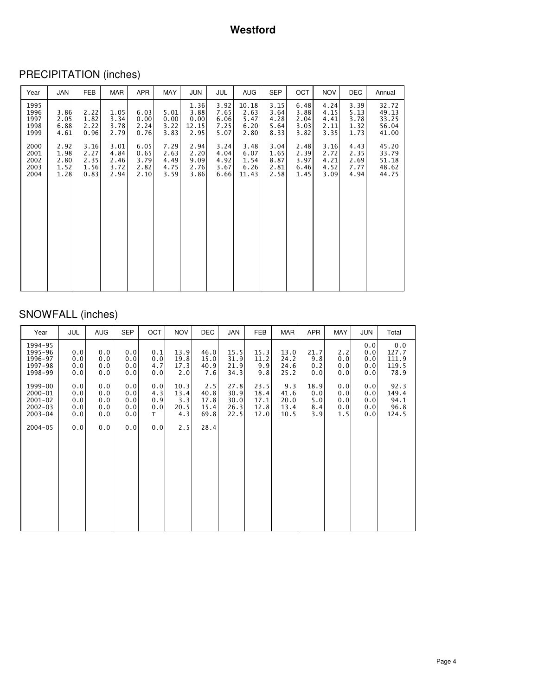# PRECIPITATION (inches)

| Year                                 | JAN                                  | FEB                                  | MAR                                  | APR                                  | MAY                                  | JUN                                   | JUL                                  | <b>AUG</b>                            | SEP                                  | <b>OCT</b>                           | <b>NOV</b>                           | DEC                                  | Annual                                    |
|--------------------------------------|--------------------------------------|--------------------------------------|--------------------------------------|--------------------------------------|--------------------------------------|---------------------------------------|--------------------------------------|---------------------------------------|--------------------------------------|--------------------------------------|--------------------------------------|--------------------------------------|-------------------------------------------|
| 1995<br>1996<br>1997<br>1998<br>1999 | 3.86<br>2.05<br>6.88<br>4.61         | 2.22<br>1.82<br>2.22<br>0.96         | 1.05<br>3.34<br>3.78<br>2.79         | 6.03<br>0.00<br>2.24<br>0.76         | 5.01<br>0.00<br>3.22<br>3.83         | 1.36<br>3.88<br>0.00<br>12.15<br>2.95 | 3.92<br>7.65<br>6.06<br>7.25<br>5.07 | 10.18<br>2.63<br>5.47<br>6.20<br>2.80 | 3.15<br>3.64<br>4.28<br>5.64<br>8.33 | 6.48<br>3.88<br>2.04<br>3.03<br>3.82 | 4.24<br>4.15<br>4.41<br>2.11<br>3.35 | 3.39<br>5.13<br>3.78<br>1.32<br>1.73 | 32.72<br>49.13<br>33.25<br>56.04<br>41.00 |
| 2000<br>2001<br>2002<br>2003<br>2004 | 2.92<br>1.98<br>2.80<br>1.52<br>1.28 | 3.16<br>2.27<br>2.35<br>1.56<br>0.83 | 3.01<br>4.84<br>2.46<br>3.72<br>2.94 | 6.05<br>0.65<br>3.79<br>2.82<br>2.10 | 7.29<br>2.63<br>4.49<br>4.75<br>3.59 | 2.94<br>2.20<br>9.09<br>2.76<br>3.86  | 3.24<br>4.04<br>4.92<br>3.67<br>6.66 | 3.48<br>6.07<br>1.54<br>6.26<br>11.43 | 3.04<br>1.65<br>8.87<br>2.81<br>2.58 | 2.48<br>2.39<br>3.97<br>6.46<br>1.45 | 3.16<br>2.72<br>4.21<br>4.52<br>3.09 | 4.43<br>2.35<br>2.69<br>7.77<br>4.94 | 45.20<br>33.79<br>51.18<br>48.62<br>44.75 |

## SNOWFALL (inches)

| Year                                                            | <b>JUL</b>                      | <b>AUG</b>                      | <b>SEP</b>                      | OCT                            | <b>NOV</b>                         | DEC                                 | JAN                                  | FEB                                  | MAR                                 | <b>APR</b>                       | MAY                             | <b>JUN</b>                      | Total                                  |
|-----------------------------------------------------------------|---------------------------------|---------------------------------|---------------------------------|--------------------------------|------------------------------------|-------------------------------------|--------------------------------------|--------------------------------------|-------------------------------------|----------------------------------|---------------------------------|---------------------------------|----------------------------------------|
| 1994-95<br>1995-96<br>1996-97<br>1997-98<br>1998-99             | 0.0<br>0.0<br>0.0<br>0.0        | 0.0<br>0.0<br>0.0<br>0.0        | 0.0<br>0.0<br>0.0<br>0.0        | 0.1<br>0.0<br>4.7<br>0.0       | 13.9<br>19.8<br>17.3<br>2.0        | 46.0<br>15.0<br>40.9<br>7.6         | 15.5<br>31.9<br>21.9<br>34.3         | 15.3<br>11.2<br>9.9<br>9.8           | 13.0<br>24.2<br>24.6<br>25.2        | 21.7<br>9.8<br>0.2<br>0.0        | 2.2<br>0.0<br>0.0<br>0.0        | 0.0<br>0.0<br>0.0<br>0.0<br>0.0 | 0.0<br>127.7<br>111.9<br>119.5<br>78.9 |
| 1999-00<br>$2000 - 01$<br>2001-02<br>$2002 - 03$<br>$2003 - 04$ | 0.0<br>0.0<br>0.0<br>0.0<br>0.0 | 0.0<br>0.0<br>0.0<br>0.0<br>0.0 | 0.0<br>0.0<br>0.0<br>0.0<br>0.0 | 0.0<br>4.3<br>0.9<br>0.0<br>T. | 10.3<br>13.4<br>3.3<br>20.5<br>4.3 | 2.5<br>40.8<br>17.8<br>15.4<br>69.8 | 27.8<br>30.9<br>30.0<br>26.3<br>22.5 | 23.5<br>18.4<br>17.1<br>12.8<br>12.0 | 9.3<br>41.6<br>20.0<br>13.4<br>10.5 | 18.9<br>0.0<br>5.0<br>8.4<br>3.9 | 0.0<br>0.0<br>0.0<br>0.0<br>1.5 | 0.0<br>0.0<br>0.0<br>0.0<br>0.0 | 92.3<br>149.4<br>94.1<br>96.8<br>124.5 |
| $2004 - 05$                                                     | 0.0                             | 0.0                             | 0.0                             | 0.0                            | 2.5                                | 28.4                                |                                      |                                      |                                     |                                  |                                 |                                 |                                        |
|                                                                 |                                 |                                 |                                 |                                |                                    |                                     |                                      |                                      |                                     |                                  |                                 |                                 |                                        |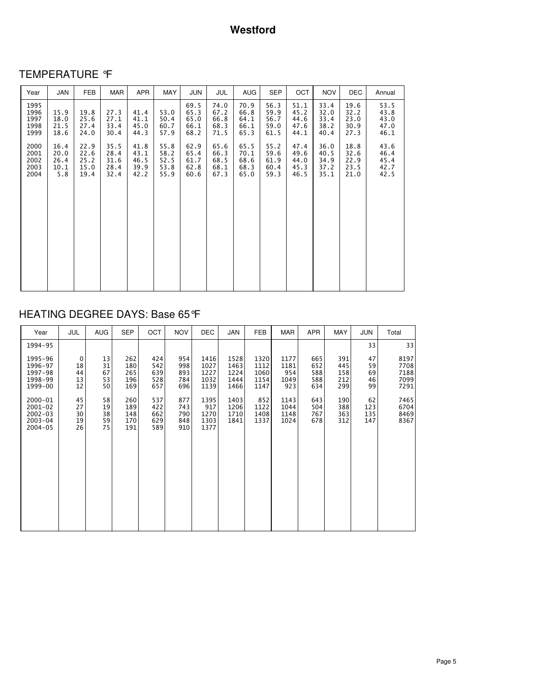# TEMPERATURE °F

| Year                                 | JAN                                 | <b>FEB</b>                           | MAR                                  | APR                                  | MAY                                  | JUN                                  | <b>JUL</b>                           | <b>AUG</b>                           | <b>SEP</b>                           | OCT                                  | <b>NOV</b>                           | <b>DEC</b>                           | Annual                               |
|--------------------------------------|-------------------------------------|--------------------------------------|--------------------------------------|--------------------------------------|--------------------------------------|--------------------------------------|--------------------------------------|--------------------------------------|--------------------------------------|--------------------------------------|--------------------------------------|--------------------------------------|--------------------------------------|
| 1995<br>1996<br>1997<br>1998<br>1999 | 15.9<br>18.0<br>21.5<br>18.6        | 19.8<br>25.6<br>27.4<br>24.0         | 27.3<br>27.1<br>33.4<br>30.4         | 41.4<br>41.1<br>45.0<br>44.3         | 53.0<br>50.4<br>60.7<br>57.9         | 69.5<br>65.3<br>65.0<br>66.1<br>68.2 | 74.0<br>67.2<br>66.8<br>68.3<br>71.5 | 70.9<br>66.8<br>64.1<br>66.1<br>65.3 | 56.3<br>59.9<br>56.7<br>59.0<br>61.5 | 51.1<br>45.2<br>44.6<br>47.6<br>44.1 | 33.4<br>32.0<br>33.4<br>38.2<br>40.4 | 19.6<br>32.2<br>23.0<br>30.9<br>27.3 | 53.5<br>43.8<br>43.0<br>47.0<br>46.1 |
| 2000<br>2001<br>2002<br>2003<br>2004 | 16.4<br>20.0<br>26.4<br>10.1<br>5.8 | 22.9<br>22.6<br>25.2<br>15.0<br>19.4 | 35.5<br>28.4<br>31.6<br>28.4<br>32.4 | 41.8<br>43.1<br>46.5<br>39.9<br>42.2 | 55.8<br>58.2<br>52.5<br>53.8<br>55.9 | 62.9<br>65.4<br>61.7<br>62.8<br>60.6 | 65.6<br>66.3<br>68.5<br>68.1<br>67.3 | 65.5<br>70.1<br>68.6<br>68.3<br>65.0 | 55.2<br>59.6<br>61.9<br>60.4<br>59.3 | 47.4<br>49.6<br>44.0<br>45.3<br>46.5 | 36.0<br>40.5<br>34.9<br>37.2<br>35.1 | 18.8<br>32.6<br>22.9<br>23.5<br>21.0 | 43.6<br>46.4<br>45.4<br>42.7<br>42.5 |

# HEATING DEGREE DAYS: Base 65°F

| Year                                                                | <b>JUL</b>                 | <b>AUG</b>                 | <b>SEP</b>                      | OCT                             | <b>NOV</b>                      | <b>DEC</b>                           | <b>JAN</b>                           | <b>FEB</b>                           | <b>MAR</b>                         | APR                             | <b>MAY</b>                      | JUN                        | Total                                |
|---------------------------------------------------------------------|----------------------------|----------------------------|---------------------------------|---------------------------------|---------------------------------|--------------------------------------|--------------------------------------|--------------------------------------|------------------------------------|---------------------------------|---------------------------------|----------------------------|--------------------------------------|
| 1994-95                                                             |                            |                            |                                 |                                 |                                 |                                      |                                      |                                      |                                    |                                 |                                 | 33                         | 33                                   |
| 1995-96<br>1996-97<br>1997-98<br>1998-99<br>1999-00                 | 0<br>18<br>44<br>13<br>12  | 13<br>31<br>67<br>53<br>50 | 262<br>180<br>265<br>196<br>169 | 424<br>542<br>639<br>528<br>657 | 954<br>998<br>893<br>784<br>696 | 1416<br>1027<br>1227<br>1032<br>1139 | 1528<br>1463<br>1224<br>1444<br>1466 | 1320<br>1112<br>1060<br>1154<br>1147 | 1177<br>1181<br>954<br>1049<br>923 | 665<br>652<br>588<br>588<br>634 | 391<br>445<br>158<br>212<br>299 | 47<br>59<br>69<br>46<br>99 | 8197<br>7708<br>7188<br>7099<br>7291 |
| 2000-01<br>$2001 - 02$<br>$2002 - 03$<br>$2003 - 04$<br>$2004 - 05$ | 45<br>27<br>30<br>19<br>26 | 58<br>19<br>38<br>59<br>75 | 260<br>189<br>148<br>170<br>191 | 537<br>422<br>662<br>629<br>589 | 877<br>743<br>790<br>848<br>910 | 1395<br>917<br>1270<br>1303<br>1377  | 1403<br>1206<br>1710<br>1841         | 852<br>1122<br>1408<br>1337          | 1143<br>1044<br>1148<br>1024       | 643<br>504<br>767<br>678        | 190<br>388<br>363<br>312        | 62<br>123<br>135<br>147    | 7465<br>6704<br>8469<br>8367         |
|                                                                     |                            |                            |                                 |                                 |                                 |                                      |                                      |                                      |                                    |                                 |                                 |                            |                                      |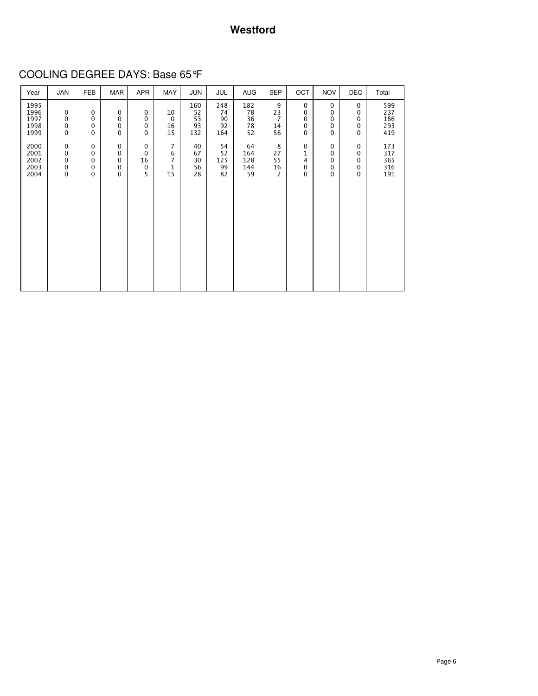### **Westford**

COOLING DEGREE DAYS: Base 65°F

| Year                                 | <b>JAN</b>                                                           | <b>FEB</b>                                          | MAR                   | APR                                                      | MAY                                              | JUN                          | JUL                          | <b>AUG</b>                    | <b>SEP</b>                            | OCT                   | <b>NOV</b>                                          | <b>DEC</b>                                | Total                           |
|--------------------------------------|----------------------------------------------------------------------|-----------------------------------------------------|-----------------------|----------------------------------------------------------|--------------------------------------------------|------------------------------|------------------------------|-------------------------------|---------------------------------------|-----------------------|-----------------------------------------------------|-------------------------------------------|---------------------------------|
| 1995<br>1996<br>1997<br>1998<br>1999 | $\mathbf 0$<br>$\mathbf 0$<br>$\mathbf{0}$<br>0                      | $\mathbf 0$<br>0<br>0<br>$\mathbf 0$                | 0<br>0<br>0<br>0      | $\mathbf 0$<br>$\mathbf 0$<br>$\mathbf 0$<br>$\mathbf 0$ | 10<br>$\mathbf 0$<br>16<br>15                    | 160<br>52<br>53<br>93<br>132 | 248<br>74<br>90<br>92<br>164 | 182<br>78<br>36<br>78<br>52   | 9<br>23<br>$\overline{7}$<br>14<br>56 | 0<br>0<br>0<br>0<br>0 | 0<br>$\mathbf 0$<br>0<br>$\mathbf 0$<br>$\mathbf 0$ | 0<br>0<br>0<br>0<br>0                     | 599<br>237<br>186<br>293<br>419 |
| 2000<br>2001<br>2002<br>2003<br>2004 | $\mathbf 0$<br>$\mathbf 0$<br>$\mathbf 0$<br>$\mathbf 0$<br>$\Omega$ | 0<br>$\mathbf 0$<br>$\mathbf 0$<br>$\mathbf 0$<br>0 | 0<br>0<br>0<br>0<br>0 | $\mathbf 0$<br>$\mathbf 0$<br>16<br>$\mathbf 0$<br>5     | $\overline{7}$<br>6<br>$\overline{7}$<br>1<br>15 | 40<br>67<br>30<br>56<br>28   | 54<br>52<br>125<br>99<br>82  | 64<br>164<br>128<br>144<br>59 | 8<br>27<br>55<br>16<br>$\overline{2}$ | 0<br>1<br>4<br>0<br>0 | 0<br>$\mathbf 0$<br>$\mathbf 0$<br>0<br>$\Omega$    | 0<br>0<br>$\mathbf 0$<br>0<br>$\mathbf 0$ | 173<br>317<br>365<br>316<br>191 |